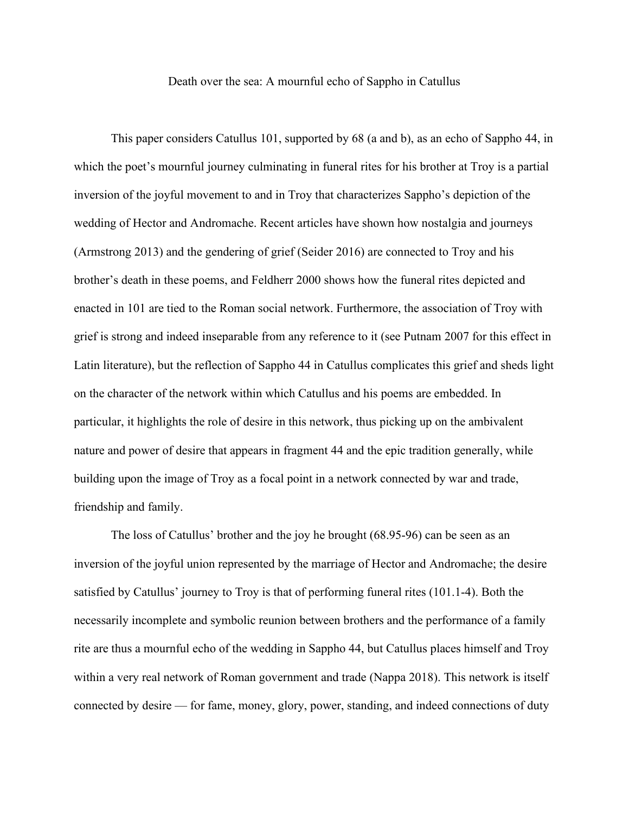Death over the sea: A mournful echo of Sappho in Catullus

This paper considers Catullus 101, supported by 68 (a and b), as an echo of Sappho 44, in which the poet's mournful journey culminating in funeral rites for his brother at Troy is a partial inversion of the joyful movement to and in Troy that characterizes Sappho's depiction of the wedding of Hector and Andromache. Recent articles have shown how nostalgia and journeys (Armstrong 2013) and the gendering of grief (Seider 2016) are connected to Troy and his brother's death in these poems, and Feldherr 2000 shows how the funeral rites depicted and enacted in 101 are tied to the Roman social network. Furthermore, the association of Troy with grief is strong and indeed inseparable from any reference to it (see Putnam 2007 for this effect in Latin literature), but the reflection of Sappho 44 in Catullus complicates this grief and sheds light on the character of the network within which Catullus and his poems are embedded. In particular, it highlights the role of desire in this network, thus picking up on the ambivalent nature and power of desire that appears in fragment 44 and the epic tradition generally, while building upon the image of Troy as a focal point in a network connected by war and trade, friendship and family.

The loss of Catullus' brother and the joy he brought (68.95-96) can be seen as an inversion of the joyful union represented by the marriage of Hector and Andromache; the desire satisfied by Catullus' journey to Troy is that of performing funeral rites (101.1-4). Both the necessarily incomplete and symbolic reunion between brothers and the performance of a family rite are thus a mournful echo of the wedding in Sappho 44, but Catullus places himself and Troy within a very real network of Roman government and trade (Nappa 2018). This network is itself connected by desire — for fame, money, glory, power, standing, and indeed connections of duty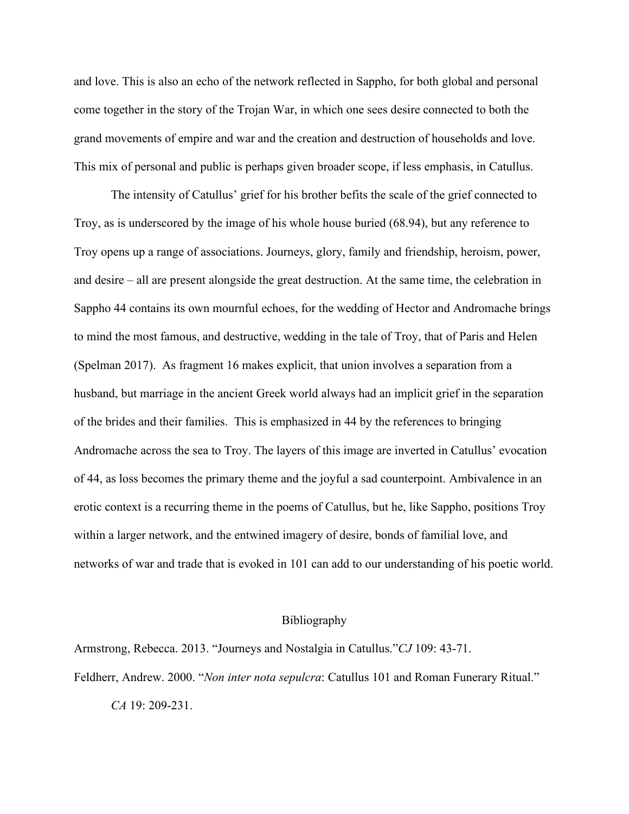and love. This is also an echo of the network reflected in Sappho, for both global and personal come together in the story of the Trojan War, in which one sees desire connected to both the grand movements of empire and war and the creation and destruction of households and love. This mix of personal and public is perhaps given broader scope, if less emphasis, in Catullus.

The intensity of Catullus' grief for his brother befits the scale of the grief connected to Troy, as is underscored by the image of his whole house buried (68.94), but any reference to Troy opens up a range of associations. Journeys, glory, family and friendship, heroism, power, and desire – all are present alongside the great destruction. At the same time, the celebration in Sappho 44 contains its own mournful echoes, for the wedding of Hector and Andromache brings to mind the most famous, and destructive, wedding in the tale of Troy, that of Paris and Helen (Spelman 2017). As fragment 16 makes explicit, that union involves a separation from a husband, but marriage in the ancient Greek world always had an implicit grief in the separation of the brides and their families. This is emphasized in 44 by the references to bringing Andromache across the sea to Troy. The layers of this image are inverted in Catullus' evocation of 44, as loss becomes the primary theme and the joyful a sad counterpoint. Ambivalence in an erotic context is a recurring theme in the poems of Catullus, but he, like Sappho, positions Troy within a larger network, and the entwined imagery of desire, bonds of familial love, and networks of war and trade that is evoked in 101 can add to our understanding of his poetic world.

## Bibliography

Armstrong, Rebecca. 2013. "Journeys and Nostalgia in Catullus."*CJ* 109: 43-71. Feldherr, Andrew. 2000. "*Non inter nota sepulcra*: Catullus 101 and Roman Funerary Ritual."

*CA* 19: 209-231.